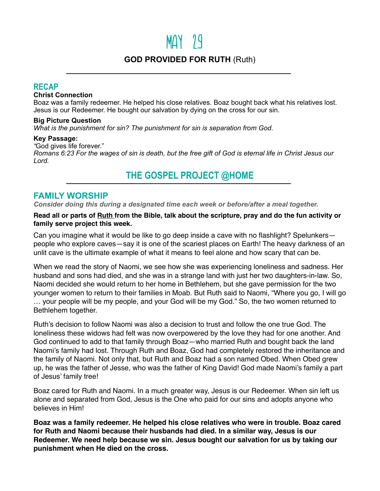# $MAY$  29

## **GOD PROVIDED FOR RUTH** (Ruth)

### **RECAP**

#### **Christ Connection**

Boaz was a family redeemer. He helped his close relatives. Boaz bought back what his relatives lost. Jesus is our Redeemer. He bought our salvation by dying on the cross for our sin.

#### **Big Picture Question**

*What is the punishment for sin? The punishment for sin is separation from God.*

#### **Key Passage:**

*"*God gives life forever."

*Romans 6:23 For the wages of sin is death, but the free gift of God is eternal life in Christ Jesus our Lord.*

## **THE GOSPEL PROJECT @HOME**

## **FAMILY WORSHIP**

*Consider doing this during a designated time each week or before/after a meal together.*

#### **Read all or parts of Ruth from the Bible, talk about the scripture, pray and do the fun activity or family serve project this week.**

Can you imagine what it would be like to go deep inside a cave with no flashlight? Spelunkers people who explore caves—say it is one of the scariest places on Earth! The heavy darkness of an unlit cave is the ultimate example of what it means to feel alone and how scary that can be.

When we read the story of Naomi, we see how she was experiencing loneliness and sadness. Her husband and sons had died, and she was in a strange land with just her two daughters-in-law. So, Naomi decided she would return to her home in Bethlehem, but she gave permission for the two younger women to return to their families in Moab. But Ruth said to Naomi, "Where you go, I will go … your people will be my people, and your God will be my God." So, the two women returned to Bethlehem together.

Ruth's decision to follow Naomi was also a decision to trust and follow the one true God. The loneliness these widows had felt was now overpowered by the love they had for one another. And God continued to add to that family through Boaz—who married Ruth and bought back the land Naomi's family had lost. Through Ruth and Boaz, God had completely restored the inheritance and the family of Naomi. Not only that, but Ruth and Boaz had a son named Obed. When Obed grew up, he was the father of Jesse, who was the father of King David! God made Naomi's family a part of Jesus' family tree!

Boaz cared for Ruth and Naomi. In a much greater way, Jesus is our Redeemer. When sin left us alone and separated from God, Jesus is the One who paid for our sins and adopts anyone who believes in Him!

**Boaz was a family redeemer. He helped his close relatives who were in trouble. Boaz cared for Ruth and Naomi because their husbands had died. In a similar way, Jesus is our Redeemer. We need help because we sin. Jesus bought our salvation for us by taking our punishment when He died on the cross.**